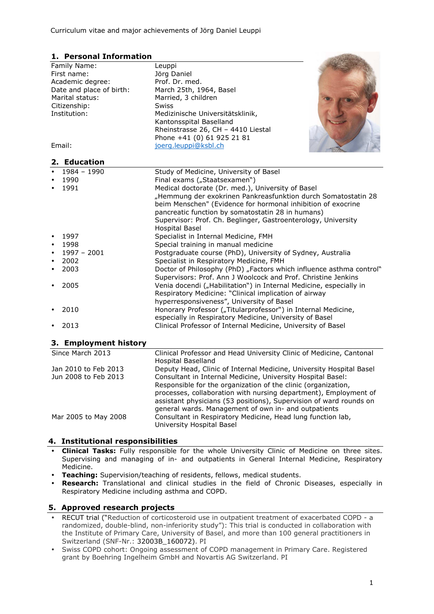# **1. Personal Information**

| Family Name:<br>Leuppi<br>Jörg Daniel<br>First name:<br>Academic degree:<br>Prof. Dr. med.<br>Date and place of birth:<br>March 25th, 1964, Basel<br>Marital status:<br>Married, 3 children<br>Citizenship:<br><b>Swiss</b><br>Institution:<br>Medizinische Universitätsklinik,<br>Kantonsspital Baselland<br>Rheinstrasse 26, CH - 4410 Liestal<br>Phone +41 (0) 61 925 21 81<br>joerg.leuppi@ksbl.ch<br>Email:<br>2. Education<br>$\bullet$<br>$1984 - 1990$<br>Study of Medicine, University of Basel<br>1990<br>Final exams ("Staatsexamen")<br>$\bullet$<br>1991<br>Medical doctorate (Dr. med.), University of Basel<br>$\bullet$<br>"Hemmung der exokrinen Pankreasfunktion durch Somatostatin 28<br>beim Menschen" (Evidence for hormonal inhibition of exocrine<br>pancreatic function by somatostatin 28 in humans)<br>Supervisor: Prof. Ch. Beglinger, Gastroenterology, University<br><b>Hospital Basel</b><br>1997<br>Specialist in Internal Medicine, FMH<br>$\bullet$<br>1998<br>Special training in manual medicine<br>$\bullet$<br>$1997 - 2001$<br>$\bullet$<br>Postgraduate course (PhD), University of Sydney, Australia<br>2002<br>Specialist in Respiratory Medicine, FMH<br>$\bullet$<br>Doctor of Philosophy (PhD) "Factors which influence asthma control"<br>2003<br>$\bullet$<br>Supervisors: Prof. Ann J Woolcock and Prof. Christine Jenkins<br>2005<br>Venia docendi ("Habilitation") in Internal Medicine, especially in<br>$\bullet$<br>Respiratory Medicine: "Clinical implication of airway<br>hyperresponsiveness", University of Basel<br>Honorary Professor ("Titularprofessor") in Internal Medicine,<br>2010<br>especially in Respiratory Medicine, University of Basel<br>Clinical Professor of Internal Medicine, University of Basel<br>2013<br>٠<br>3. Employment history<br>Since March 2013<br>Clinical Professor and Head University Clinic of Medicine, Cantonal<br>Hospital Baselland<br>Jan 2010 to Feb 2013<br>Deputy Head, Clinic of Internal Medicine, University Hospital Basel<br>Jun 2008 to Feb 2013<br>Consultant in Internal Medicine, University Hospital Basel: | <u>. Crsonar Enrormation</u> |                                                               |
|-----------------------------------------------------------------------------------------------------------------------------------------------------------------------------------------------------------------------------------------------------------------------------------------------------------------------------------------------------------------------------------------------------------------------------------------------------------------------------------------------------------------------------------------------------------------------------------------------------------------------------------------------------------------------------------------------------------------------------------------------------------------------------------------------------------------------------------------------------------------------------------------------------------------------------------------------------------------------------------------------------------------------------------------------------------------------------------------------------------------------------------------------------------------------------------------------------------------------------------------------------------------------------------------------------------------------------------------------------------------------------------------------------------------------------------------------------------------------------------------------------------------------------------------------------------------------------------------------------------------------------------------------------------------------------------------------------------------------------------------------------------------------------------------------------------------------------------------------------------------------------------------------------------------------------------------------------------------------------------------------------------------------------------------------------------------------------------------------------------------------------|------------------------------|---------------------------------------------------------------|
|                                                                                                                                                                                                                                                                                                                                                                                                                                                                                                                                                                                                                                                                                                                                                                                                                                                                                                                                                                                                                                                                                                                                                                                                                                                                                                                                                                                                                                                                                                                                                                                                                                                                                                                                                                                                                                                                                                                                                                                                                                                                                                                             |                              |                                                               |
|                                                                                                                                                                                                                                                                                                                                                                                                                                                                                                                                                                                                                                                                                                                                                                                                                                                                                                                                                                                                                                                                                                                                                                                                                                                                                                                                                                                                                                                                                                                                                                                                                                                                                                                                                                                                                                                                                                                                                                                                                                                                                                                             |                              |                                                               |
|                                                                                                                                                                                                                                                                                                                                                                                                                                                                                                                                                                                                                                                                                                                                                                                                                                                                                                                                                                                                                                                                                                                                                                                                                                                                                                                                                                                                                                                                                                                                                                                                                                                                                                                                                                                                                                                                                                                                                                                                                                                                                                                             |                              |                                                               |
|                                                                                                                                                                                                                                                                                                                                                                                                                                                                                                                                                                                                                                                                                                                                                                                                                                                                                                                                                                                                                                                                                                                                                                                                                                                                                                                                                                                                                                                                                                                                                                                                                                                                                                                                                                                                                                                                                                                                                                                                                                                                                                                             |                              |                                                               |
|                                                                                                                                                                                                                                                                                                                                                                                                                                                                                                                                                                                                                                                                                                                                                                                                                                                                                                                                                                                                                                                                                                                                                                                                                                                                                                                                                                                                                                                                                                                                                                                                                                                                                                                                                                                                                                                                                                                                                                                                                                                                                                                             |                              |                                                               |
|                                                                                                                                                                                                                                                                                                                                                                                                                                                                                                                                                                                                                                                                                                                                                                                                                                                                                                                                                                                                                                                                                                                                                                                                                                                                                                                                                                                                                                                                                                                                                                                                                                                                                                                                                                                                                                                                                                                                                                                                                                                                                                                             |                              |                                                               |
|                                                                                                                                                                                                                                                                                                                                                                                                                                                                                                                                                                                                                                                                                                                                                                                                                                                                                                                                                                                                                                                                                                                                                                                                                                                                                                                                                                                                                                                                                                                                                                                                                                                                                                                                                                                                                                                                                                                                                                                                                                                                                                                             |                              |                                                               |
|                                                                                                                                                                                                                                                                                                                                                                                                                                                                                                                                                                                                                                                                                                                                                                                                                                                                                                                                                                                                                                                                                                                                                                                                                                                                                                                                                                                                                                                                                                                                                                                                                                                                                                                                                                                                                                                                                                                                                                                                                                                                                                                             |                              |                                                               |
|                                                                                                                                                                                                                                                                                                                                                                                                                                                                                                                                                                                                                                                                                                                                                                                                                                                                                                                                                                                                                                                                                                                                                                                                                                                                                                                                                                                                                                                                                                                                                                                                                                                                                                                                                                                                                                                                                                                                                                                                                                                                                                                             |                              |                                                               |
|                                                                                                                                                                                                                                                                                                                                                                                                                                                                                                                                                                                                                                                                                                                                                                                                                                                                                                                                                                                                                                                                                                                                                                                                                                                                                                                                                                                                                                                                                                                                                                                                                                                                                                                                                                                                                                                                                                                                                                                                                                                                                                                             |                              |                                                               |
|                                                                                                                                                                                                                                                                                                                                                                                                                                                                                                                                                                                                                                                                                                                                                                                                                                                                                                                                                                                                                                                                                                                                                                                                                                                                                                                                                                                                                                                                                                                                                                                                                                                                                                                                                                                                                                                                                                                                                                                                                                                                                                                             |                              |                                                               |
|                                                                                                                                                                                                                                                                                                                                                                                                                                                                                                                                                                                                                                                                                                                                                                                                                                                                                                                                                                                                                                                                                                                                                                                                                                                                                                                                                                                                                                                                                                                                                                                                                                                                                                                                                                                                                                                                                                                                                                                                                                                                                                                             |                              |                                                               |
|                                                                                                                                                                                                                                                                                                                                                                                                                                                                                                                                                                                                                                                                                                                                                                                                                                                                                                                                                                                                                                                                                                                                                                                                                                                                                                                                                                                                                                                                                                                                                                                                                                                                                                                                                                                                                                                                                                                                                                                                                                                                                                                             |                              |                                                               |
|                                                                                                                                                                                                                                                                                                                                                                                                                                                                                                                                                                                                                                                                                                                                                                                                                                                                                                                                                                                                                                                                                                                                                                                                                                                                                                                                                                                                                                                                                                                                                                                                                                                                                                                                                                                                                                                                                                                                                                                                                                                                                                                             |                              |                                                               |
|                                                                                                                                                                                                                                                                                                                                                                                                                                                                                                                                                                                                                                                                                                                                                                                                                                                                                                                                                                                                                                                                                                                                                                                                                                                                                                                                                                                                                                                                                                                                                                                                                                                                                                                                                                                                                                                                                                                                                                                                                                                                                                                             |                              |                                                               |
|                                                                                                                                                                                                                                                                                                                                                                                                                                                                                                                                                                                                                                                                                                                                                                                                                                                                                                                                                                                                                                                                                                                                                                                                                                                                                                                                                                                                                                                                                                                                                                                                                                                                                                                                                                                                                                                                                                                                                                                                                                                                                                                             |                              |                                                               |
|                                                                                                                                                                                                                                                                                                                                                                                                                                                                                                                                                                                                                                                                                                                                                                                                                                                                                                                                                                                                                                                                                                                                                                                                                                                                                                                                                                                                                                                                                                                                                                                                                                                                                                                                                                                                                                                                                                                                                                                                                                                                                                                             |                              |                                                               |
|                                                                                                                                                                                                                                                                                                                                                                                                                                                                                                                                                                                                                                                                                                                                                                                                                                                                                                                                                                                                                                                                                                                                                                                                                                                                                                                                                                                                                                                                                                                                                                                                                                                                                                                                                                                                                                                                                                                                                                                                                                                                                                                             |                              |                                                               |
|                                                                                                                                                                                                                                                                                                                                                                                                                                                                                                                                                                                                                                                                                                                                                                                                                                                                                                                                                                                                                                                                                                                                                                                                                                                                                                                                                                                                                                                                                                                                                                                                                                                                                                                                                                                                                                                                                                                                                                                                                                                                                                                             |                              |                                                               |
|                                                                                                                                                                                                                                                                                                                                                                                                                                                                                                                                                                                                                                                                                                                                                                                                                                                                                                                                                                                                                                                                                                                                                                                                                                                                                                                                                                                                                                                                                                                                                                                                                                                                                                                                                                                                                                                                                                                                                                                                                                                                                                                             |                              |                                                               |
|                                                                                                                                                                                                                                                                                                                                                                                                                                                                                                                                                                                                                                                                                                                                                                                                                                                                                                                                                                                                                                                                                                                                                                                                                                                                                                                                                                                                                                                                                                                                                                                                                                                                                                                                                                                                                                                                                                                                                                                                                                                                                                                             |                              |                                                               |
|                                                                                                                                                                                                                                                                                                                                                                                                                                                                                                                                                                                                                                                                                                                                                                                                                                                                                                                                                                                                                                                                                                                                                                                                                                                                                                                                                                                                                                                                                                                                                                                                                                                                                                                                                                                                                                                                                                                                                                                                                                                                                                                             |                              |                                                               |
|                                                                                                                                                                                                                                                                                                                                                                                                                                                                                                                                                                                                                                                                                                                                                                                                                                                                                                                                                                                                                                                                                                                                                                                                                                                                                                                                                                                                                                                                                                                                                                                                                                                                                                                                                                                                                                                                                                                                                                                                                                                                                                                             |                              |                                                               |
|                                                                                                                                                                                                                                                                                                                                                                                                                                                                                                                                                                                                                                                                                                                                                                                                                                                                                                                                                                                                                                                                                                                                                                                                                                                                                                                                                                                                                                                                                                                                                                                                                                                                                                                                                                                                                                                                                                                                                                                                                                                                                                                             |                              |                                                               |
|                                                                                                                                                                                                                                                                                                                                                                                                                                                                                                                                                                                                                                                                                                                                                                                                                                                                                                                                                                                                                                                                                                                                                                                                                                                                                                                                                                                                                                                                                                                                                                                                                                                                                                                                                                                                                                                                                                                                                                                                                                                                                                                             |                              |                                                               |
|                                                                                                                                                                                                                                                                                                                                                                                                                                                                                                                                                                                                                                                                                                                                                                                                                                                                                                                                                                                                                                                                                                                                                                                                                                                                                                                                                                                                                                                                                                                                                                                                                                                                                                                                                                                                                                                                                                                                                                                                                                                                                                                             |                              |                                                               |
|                                                                                                                                                                                                                                                                                                                                                                                                                                                                                                                                                                                                                                                                                                                                                                                                                                                                                                                                                                                                                                                                                                                                                                                                                                                                                                                                                                                                                                                                                                                                                                                                                                                                                                                                                                                                                                                                                                                                                                                                                                                                                                                             |                              |                                                               |
|                                                                                                                                                                                                                                                                                                                                                                                                                                                                                                                                                                                                                                                                                                                                                                                                                                                                                                                                                                                                                                                                                                                                                                                                                                                                                                                                                                                                                                                                                                                                                                                                                                                                                                                                                                                                                                                                                                                                                                                                                                                                                                                             |                              |                                                               |
|                                                                                                                                                                                                                                                                                                                                                                                                                                                                                                                                                                                                                                                                                                                                                                                                                                                                                                                                                                                                                                                                                                                                                                                                                                                                                                                                                                                                                                                                                                                                                                                                                                                                                                                                                                                                                                                                                                                                                                                                                                                                                                                             |                              |                                                               |
|                                                                                                                                                                                                                                                                                                                                                                                                                                                                                                                                                                                                                                                                                                                                                                                                                                                                                                                                                                                                                                                                                                                                                                                                                                                                                                                                                                                                                                                                                                                                                                                                                                                                                                                                                                                                                                                                                                                                                                                                                                                                                                                             |                              |                                                               |
|                                                                                                                                                                                                                                                                                                                                                                                                                                                                                                                                                                                                                                                                                                                                                                                                                                                                                                                                                                                                                                                                                                                                                                                                                                                                                                                                                                                                                                                                                                                                                                                                                                                                                                                                                                                                                                                                                                                                                                                                                                                                                                                             |                              |                                                               |
|                                                                                                                                                                                                                                                                                                                                                                                                                                                                                                                                                                                                                                                                                                                                                                                                                                                                                                                                                                                                                                                                                                                                                                                                                                                                                                                                                                                                                                                                                                                                                                                                                                                                                                                                                                                                                                                                                                                                                                                                                                                                                                                             |                              |                                                               |
|                                                                                                                                                                                                                                                                                                                                                                                                                                                                                                                                                                                                                                                                                                                                                                                                                                                                                                                                                                                                                                                                                                                                                                                                                                                                                                                                                                                                                                                                                                                                                                                                                                                                                                                                                                                                                                                                                                                                                                                                                                                                                                                             |                              |                                                               |
|                                                                                                                                                                                                                                                                                                                                                                                                                                                                                                                                                                                                                                                                                                                                                                                                                                                                                                                                                                                                                                                                                                                                                                                                                                                                                                                                                                                                                                                                                                                                                                                                                                                                                                                                                                                                                                                                                                                                                                                                                                                                                                                             |                              |                                                               |
|                                                                                                                                                                                                                                                                                                                                                                                                                                                                                                                                                                                                                                                                                                                                                                                                                                                                                                                                                                                                                                                                                                                                                                                                                                                                                                                                                                                                                                                                                                                                                                                                                                                                                                                                                                                                                                                                                                                                                                                                                                                                                                                             |                              |                                                               |
|                                                                                                                                                                                                                                                                                                                                                                                                                                                                                                                                                                                                                                                                                                                                                                                                                                                                                                                                                                                                                                                                                                                                                                                                                                                                                                                                                                                                                                                                                                                                                                                                                                                                                                                                                                                                                                                                                                                                                                                                                                                                                                                             |                              |                                                               |
|                                                                                                                                                                                                                                                                                                                                                                                                                                                                                                                                                                                                                                                                                                                                                                                                                                                                                                                                                                                                                                                                                                                                                                                                                                                                                                                                                                                                                                                                                                                                                                                                                                                                                                                                                                                                                                                                                                                                                                                                                                                                                                                             |                              |                                                               |
|                                                                                                                                                                                                                                                                                                                                                                                                                                                                                                                                                                                                                                                                                                                                                                                                                                                                                                                                                                                                                                                                                                                                                                                                                                                                                                                                                                                                                                                                                                                                                                                                                                                                                                                                                                                                                                                                                                                                                                                                                                                                                                                             |                              | Responsible for the organization of the clinic (organization, |

Mar 2005 to May 2008 Consultant in Respiratory Medicine, Head lung function lab,

### **4. Institutional responsibilities**

• **Clinical Tasks:** Fully responsible for the whole University Clinic of Medicine on three sites. Supervising and managing of in- and outpatients in General Internal Medicine, Respiratory Medicine.

University Hospital Basel

processes, collaboration with nursing department), Employment of assistant physicians (53 positions), Supervision of ward rounds on

general wards. Management of own in- and outpatients

- **Teaching:** Supervision/teaching of residents, fellows, medical students.
- **Research:** Translational and clinical studies in the field of Chronic Diseases, especially in Respiratory Medicine including asthma and COPD.

#### **5. Approved research projects**

- RECUT trial ("Reduction of corticosteroid use in outpatient treatment of exacerbated COPD a randomized, double-blind, non-inferiority study"): This trial is conducted in collaboration with the Institute of Primary Care, University of Basel, and more than 100 general practitioners in Switzerland (SNF-Nr.: 32003B\_160072). PI
- Swiss COPD cohort: Ongoing assessment of COPD management in Primary Care. Registered grant by Boehring Ingelheim GmbH and Novartis AG Switzerland. PI

**Contract Contract Contract Contract Contract Contract Contract Contract Contract Contract Contract Contract Contract Contract Contract Contract Contract Contract Contract Contract Contract Contract Contract Contract Contr**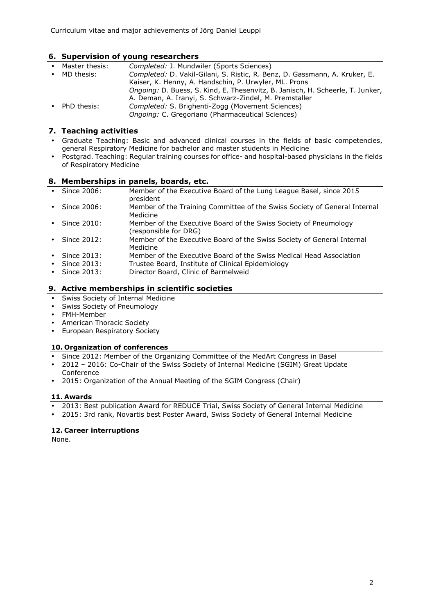# **6. Supervision of young researchers**

| $\bullet$ | Master thesis: | Completed: J. Mundwiler (Sports Sciences)                                      |
|-----------|----------------|--------------------------------------------------------------------------------|
|           | • MD thesis:   | Completed: D. Vakil-Gilani, S. Ristic, R. Benz, D. Gassmann, A. Kruker, E.     |
|           |                | Kaiser, K. Henny, A. Handschin, P. Urwyler, ML. Prons                          |
|           |                | Ongoing: D. Buess, S. Kind, E. Thesenvitz, B. Janisch, H. Scheerle, T. Junker, |
|           |                | A. Deman, A. Iranyi, S. Schwarz-Zindel, M. Premstaller                         |
| $\bullet$ | PhD thesis:    | Completed: S. Brighenti-Zogg (Movement Sciences)                               |
|           |                | Ongoing: C. Gregoriano (Pharmaceutical Sciences)                               |

### **7. Teaching activities**

- Graduate Teaching: Basic and advanced clinical courses in the fields of basic competencies, general Respiratory Medicine for bachelor and master students in Medicine
- Postgrad. Teaching: Regular training courses for office- and hospital-based physicians in the fields of Respiratory Medicine

#### **8. Memberships in panels, boards, etc.**

- Since 2006: Member of the Executive Board of the Lung League Basel, since 2015 president • Since 2006: Member of the Training Committee of the Swiss Society of General Internal Medicine
- Since 2010: Member of the Executive Board of the Swiss Society of Pneumology (responsible for DRG)
- Since 2012: Member of the Executive Board of the Swiss Society of General Internal Medicine
- Since 2013: Member of the Executive Board of the Swiss Medical Head Association
- Since 2013: Trustee Board, Institute of Clinical Epidemiology
- Since 2013: Director Board, Clinic of Barmelweid

### **9. Active memberships in scientific societies**

- Swiss Society of Internal Medicine
- Swiss Society of Pneumology
- FMH-Member
- American Thoracic Society
- European Respiratory Society

### **10. Organization of conferences**

- Since 2012: Member of the Organizing Committee of the MedArt Congress in Basel
- 2012 2016: Co-Chair of the Swiss Society of Internal Medicine (SGIM) Great Update Conference
- 2015: Organization of the Annual Meeting of the SGIM Congress (Chair)

#### **11. Awards**

- 2013: Best publication Award for REDUCE Trial, Swiss Society of General Internal Medicine
- 2015: 3rd rank, Novartis best Poster Award, Swiss Society of General Internal Medicine

### **12. Career interruptions**

None.